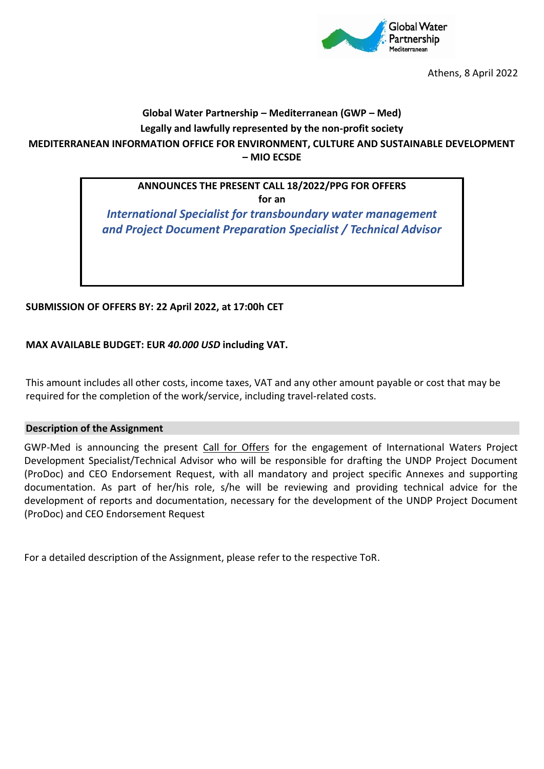

Athens, 8 April 2022

# **Global Water Partnership – Mediterranean (GWP – Med) Legally and lawfully represented by the non-profit society MEDITERRANEAN INFORMATION OFFICE FOR ENVIRONMENT, CULTURE AND SUSTAINABLE DEVELOPMENT – MIO ECSDE**

# **ANNOUNCES THE PRESENT CALL 18/2022/PPG FOR OFFERS**

**for an**

*International Specialist for transboundary water management and Project Document Preparation Specialist / Technical Advisor*

### **SUBMISSION OF OFFERS BY: 22 April 2022, at 17:00h CET**

### **MAX AVAILABLE BUDGET: EUR** *40.000 USD* **including VAT.**

This amount includes all other costs, income taxes, VAT and any other amount payable or cost that may be required for the completion of the work/service, including travel-related costs.

### **Description of the Assignment**

GWP-Med is announcing the present Call for Offers for the engagement of International Waters Project Development Specialist/Technical Advisor who will be responsible for drafting the UNDP Project Document (ProDoc) and CEO Endorsement Request, with all mandatory and project specific Annexes and supporting documentation. As part of her/his role, s/he will be reviewing and providing technical advice for the development of reports and documentation, necessary for the development of the UNDP Project Document (ProDoc) and CEO Endorsement Request

For a detailed description of the Assignment, please refer to the respective ToR.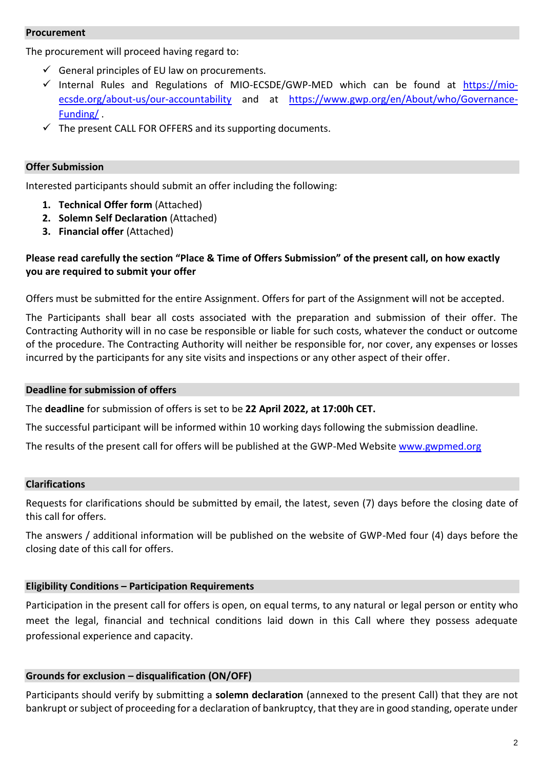### **Procurement**

The procurement will proceed having regard to:

- $\checkmark$  General principles of EU law on procurements.
- $\checkmark$  Internal Rules and Regulations of MIO-ECSDE/GWP-MED which can be found at [https://mio](https://mio-ecsde.org/about-us/our-accountability)[ecsde.org/about-us/our-accountability](https://mio-ecsde.org/about-us/our-accountability) and at [https://www.gwp.org/en/About/who/Governance-](https://www.gwp.org/en/About/who/Governance-Funding/)[Funding/](https://www.gwp.org/en/About/who/Governance-Funding/) .
- $\checkmark$  The present CALL FOR OFFERS and its supporting documents.

### **Offer Submission**

Interested participants should submit an offer including the following:

- **1. Technical Offer form** (Attached)
- **2. Solemn Self Declaration** (Attached)
- **3. Financial offer** (Attached)

## **Please read carefully the section "Place & Time of Offers Submission" of the present call, on how exactly you are required to submit your offer**

Offers must be submitted for the entire Assignment. Offers for part of the Assignment will not be accepted.

The Participants shall bear all costs associated with the preparation and submission of their offer. The Contracting Authority will in no case be responsible or liable for such costs, whatever the conduct or outcome of the procedure. The Contracting Authority will neither be responsible for, nor cover, any expenses or losses incurred by the participants for any site visits and inspections or any other aspect of their offer.

### **Deadline for submission of offers**

The **deadline** for submission of offers is set to be **22 April 2022, at 17:00h CET.**

The successful participant will be informed within 10 working days following the submission deadline.

The results of the present call for offers will be published at the GWP-Med Website [www.gwpmed.org](http://www.gwpmed.org/)

### **Clarifications**

Requests for clarifications should be submitted by email, the latest, seven (7) days before the closing date of this call for offers.

The answers / additional information will be published on the website of GWP-Med four (4) days before the closing date of this call for offers.

### **Eligibility Conditions – Participation Requirements**

Participation in the present call for offers is open, on equal terms, to any natural or legal person or entity who meet the legal, financial and technical conditions laid down in this Call where they possess adequate professional experience and capacity.

### **Grounds for exclusion – disqualification (ON/OFF)**

Participants should verify by submitting a **solemn declaration** (annexed to the present Call) that they are not bankrupt or subject of proceeding for a declaration of bankruptcy, that they are in good standing, operate under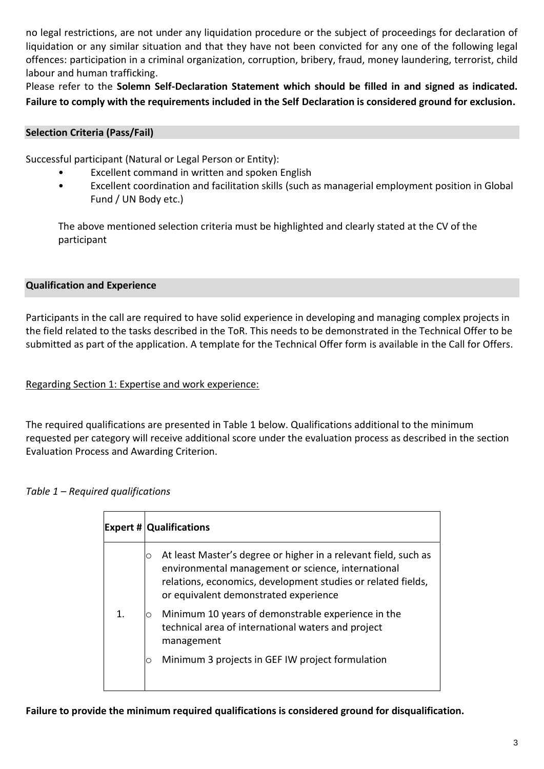no legal restrictions, are not under any liquidation procedure or the subject of proceedings for declaration of liquidation or any similar situation and that they have not been convicted for any one of the following legal offences: participation in a criminal organization, corruption, bribery, fraud, money laundering, terrorist, child labour and human trafficking.

Please refer to the **Solemn Self-Declaration Statement which should be filled in and signed as indicated. Failure to comply with the requirements included in the Self Declaration is considered ground for exclusion.**

## **Selection Criteria (Pass/Fail)**

Successful participant (Natural or Legal Person or Entity):

- Excellent command in written and spoken English
- Excellent coordination and facilitation skills (such as managerial employment position in Global Fund / UN Body etc.)

The above mentioned selection criteria must be highlighted and clearly stated at the CV of the participant

# **Qualification and Experience**

Participants in the call are required to have solid experience in developing and managing complex projects in the field related to the tasks described in the ToR. This needs to be demonstrated in the Technical Offer to be submitted as part of the application. A template for the Technical Offer form is available in the Call for Offers.

# Regarding Section 1: Expertise and work experience:

The required qualifications are presented in Table 1 below. Qualifications additional to the minimum requested per category will receive additional score under the evaluation process as described in the section Evaluation Process and Awarding Criterion.

# *Table 1 – Required qualifications*

|    | <b>Expert # Qualifications</b>                                                                                                                                                                                                      |
|----|-------------------------------------------------------------------------------------------------------------------------------------------------------------------------------------------------------------------------------------|
|    | At least Master's degree or higher in a relevant field, such as<br>O<br>environmental management or science, international<br>relations, economics, development studies or related fields,<br>or equivalent demonstrated experience |
| 1. | Minimum 10 years of demonstrable experience in the<br>Ο<br>technical area of international waters and project<br>management                                                                                                         |
|    | Minimum 3 projects in GEF IW project formulation<br>Ο                                                                                                                                                                               |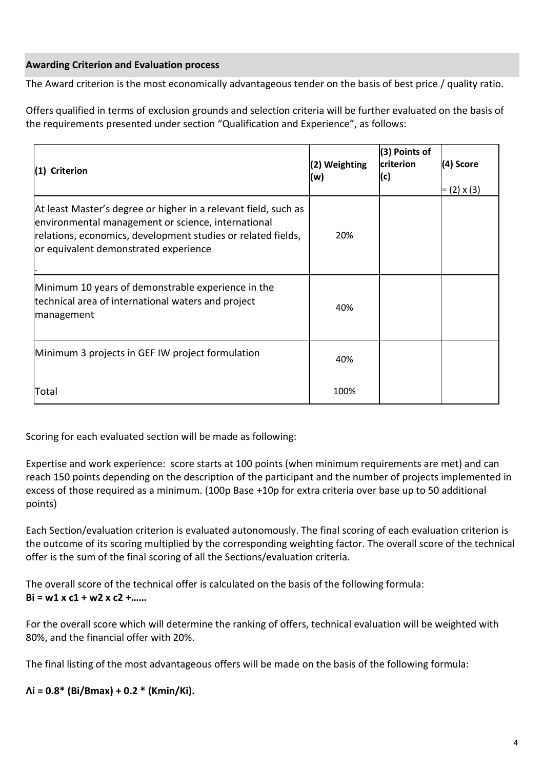# **Awarding Criterion and Evaluation process**

The Award criterion is the most economically advantageous tender on the basis of best price / quality ratio.

Offers qualified in terms of exclusion grounds and selection criteria will be further evaluated on the basis of the requirements presented under section "Qualification and Experience", as follows:

| (1) Criterion                                                                                                                                                                                                                  | (2) Weighting<br>(w) | (3) Points of<br>criterion<br>(c) | (4) Score<br>$= (2) \times (3)$ |
|--------------------------------------------------------------------------------------------------------------------------------------------------------------------------------------------------------------------------------|----------------------|-----------------------------------|---------------------------------|
| At least Master's degree or higher in a relevant field, such as<br>environmental management or science, international<br>relations, economics, development studies or related fields,<br>or equivalent demonstrated experience | 20%                  |                                   |                                 |
| Minimum 10 years of demonstrable experience in the<br>technical area of international waters and project<br>management                                                                                                         | 40%                  |                                   |                                 |
| Minimum 3 projects in GEF IW project formulation                                                                                                                                                                               | 40%                  |                                   |                                 |
| Total                                                                                                                                                                                                                          | 100%                 |                                   |                                 |

Scoring for each evaluated section will be made as following:

Expertise and work experience: score starts at 100 points (when minimum requirements are met) and can reach 150 points depending on the description of the participant and the number of projects implemented in excess of those required as a minimum. (100p Base +10p for extra criteria over base up to 50 additional points)

Each Section/evaluation criterion is evaluated autonomously. The final scoring of each evaluation criterion is the outcome of its scoring multiplied by the corresponding weighting factor. The overall score of the technical offer is the sum of the final scoring of all the Sections/evaluation criteria.

The overall score of the technical offer is calculated on the basis of the following formula: **Bi = w1 x c1 + w2 x c2 +……**

For the overall score which will determine the ranking of offers, technical evaluation will be weighted with 80%, and the financial offer with 20%.

The final listing of the most advantageous offers will be made on the basis of the following formula:

**Λi = 0.8\* (Bi/Bmax) + 0.2 \* (Kmin/Ki).**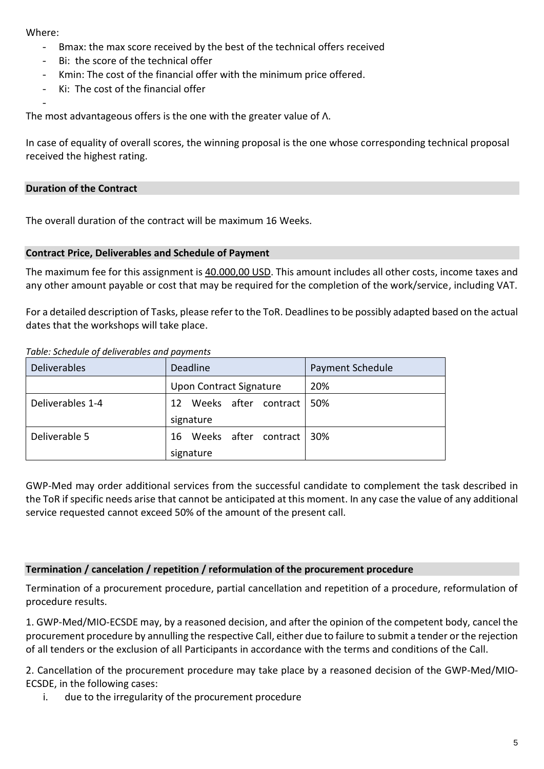#### Where:

-

- Bmax: the max score received by the best of the technical offers received
- Bi: the score of the technical offer
- Kmin: The cost of the financial offer with the minimum price offered.
- Ki: The cost of the financial offer

The most advantageous offers is the one with the greater value of Λ.

In case of equality of overall scores, the winning proposal is the one whose corresponding technical proposal received the highest rating.

### **Duration of the Contract**

The overall duration of the contract will be maximum 16 Weeks.

### **Contract Price, Deliverables and Schedule of Payment**

The maximum fee for this assignment is 40.000,00 USD. This amount includes all other costs, income taxes and any other amount payable or cost that may be required for the completion of the work/service, including VAT.

For a detailed description of Tasks, please refer to the ToR. Deadlines to be possibly adapted based on the actual dates that the workshops will take place.

#### *Table: Schedule of deliverables and payments*

| Deliverables     | Deadline                    | Payment Schedule |
|------------------|-----------------------------|------------------|
|                  | Upon Contract Signature     | 20%              |
| Deliverables 1-4 | Weeks after contract<br>12  | 50%              |
|                  | signature                   |                  |
| Deliverable 5    | Weeks after contract<br>16. | 30%              |
|                  | signature                   |                  |

GWP-Med may order additional services from the successful candidate to complement the task described in the ToR if specific needs arise that cannot be anticipated at this moment. In any case the value of any additional service requested cannot exceed 50% of the amount of the present call.

### **Termination / cancelation / repetition / reformulation of the procurement procedure**

Termination of a procurement procedure, partial cancellation and repetition of a procedure, reformulation of procedure results.

1. GWP-Med/MIO-ECSDE may, by a reasoned decision, and after the opinion of the competent body, cancel the procurement procedure by annulling the respective Call, either due to failure to submit a tender or the rejection of all tenders or the exclusion of all Participants in accordance with the terms and conditions of the Call.

2. Cancellation of the procurement procedure may take place by a reasoned decision of the GWP-Med/MIO-ECSDE, in the following cases:

i. due to the irregularity of the procurement procedure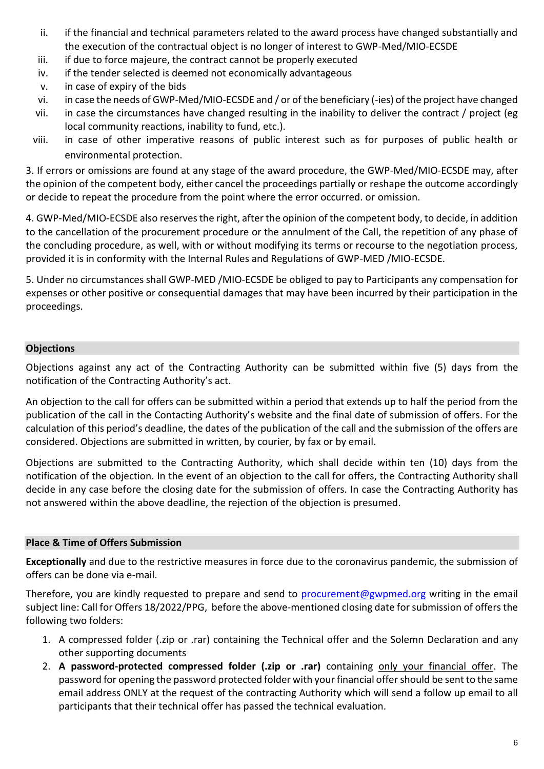- ii. if the financial and technical parameters related to the award process have changed substantially and the execution of the contractual object is no longer of interest to GWP-Med/MIO-ECSDE
- iii. if due to force majeure, the contract cannot be properly executed
- iv. if the tender selected is deemed not economically advantageous
- v. in case of expiry of the bids
- vi. in case the needs of GWP-Med/MIO-ECSDE and / or of the beneficiary (-ies) of the project have changed
- vii. in case the circumstances have changed resulting in the inability to deliver the contract / project (eg local community reactions, inability to fund, etc.).
- viii. in case of other imperative reasons of public interest such as for purposes of public health or environmental protection.

3. If errors or omissions are found at any stage of the award procedure, the GWP-Med/MIO-ECSDE may, after the opinion of the competent body, either cancel the proceedings partially or reshape the outcome accordingly or decide to repeat the procedure from the point where the error occurred. or omission.

4. GWP-Med/MIO-ECSDE also reserves the right, after the opinion of the competent body, to decide, in addition to the cancellation of the procurement procedure or the annulment of the Call, the repetition of any phase of the concluding procedure, as well, with or without modifying its terms or recourse to the negotiation process, provided it is in conformity with the Internal Rules and Regulations of GWP-MED /MIO-ECSDE.

5. Under no circumstances shall GWP-MED /MIO-ECSDE be obliged to pay to Participants any compensation for expenses or other positive or consequential damages that may have been incurred by their participation in the proceedings.

# **Objections**

Objections against any act of the Contracting Authority can be submitted within five (5) days from the notification of the Contracting Authority's act.

An objection to the call for offers can be submitted within a period that extends up to half the period from the publication of the call in the Contacting Authority's website and the final date of submission of offers. For the calculation of this period's deadline, the dates of the publication of the call and the submission of the offers are considered. Objections are submitted in written, by courier, by fax or by email.

Objections are submitted to the Contracting Authority, which shall decide within ten (10) days from the notification of the objection. In the event of an objection to the call for offers, the Contracting Authority shall decide in any case before the closing date for the submission of offers. In case the Contracting Authority has not answered within the above deadline, the rejection of the objection is presumed.

### **Place & Time of Offers Submission**

**Exceptionally** and due to the restrictive measures in force due to the coronavirus pandemic, the submission of offers can be done via e-mail.

Therefore, you are kindly requested to prepare and send to [procurement@gwpmed.org](mailto:procurement@gwpmed.org) writing in the email subject line: Call for Offers 18/2022/PPG, before the above-mentioned closing date for submission of offers the following two folders:

- 1. A compressed folder (.zip or .rar) containing the Technical offer and the Solemn Declaration and any other supporting documents
- 2. **A password-protected compressed folder (.zip or .rar)** containing only your financial offer. The password for opening the password protected folder with your financial offer should be sent to the same email address ONLY at the request of the contracting Authority which will send a follow up email to all participants that their technical offer has passed the technical evaluation.